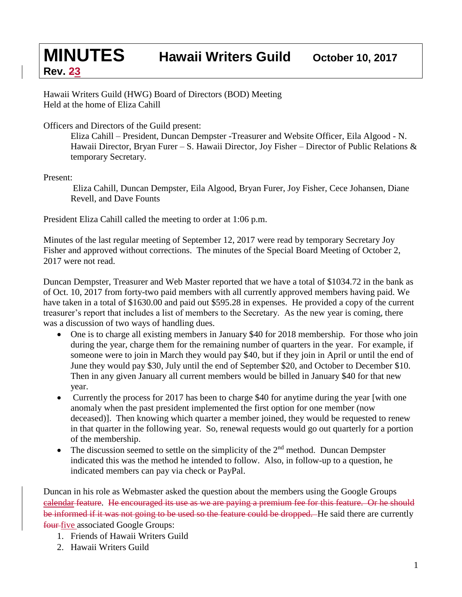**Rev. 23**

Hawaii Writers Guild (HWG) Board of Directors (BOD) Meeting Held at the home of Eliza Cahill

Officers and Directors of the Guild present:

Eliza Cahill – President, Duncan Dempster -Treasurer and Website Officer, Eila Algood - N. Hawaii Director, Bryan Furer – S. Hawaii Director, Joy Fisher – Director of Public Relations & temporary Secretary.

Present:

Eliza Cahill, Duncan Dempster, Eila Algood, Bryan Furer, Joy Fisher, Cece Johansen, Diane Revell, and Dave Founts

President Eliza Cahill called the meeting to order at 1:06 p.m.

Minutes of the last regular meeting of September 12, 2017 were read by temporary Secretary Joy Fisher and approved without corrections. The minutes of the Special Board Meeting of October 2, 2017 were not read.

Duncan Dempster, Treasurer and Web Master reported that we have a total of \$1034.72 in the bank as of Oct. 10, 2017 from forty-two paid members with all currently approved members having paid. We have taken in a total of \$1630.00 and paid out \$595.28 in expenses. He provided a copy of the current treasurer's report that includes a list of members to the Secretary. As the new year is coming, there was a discussion of two ways of handling dues.

- One is to charge all existing members in January \$40 for 2018 membership. For those who join during the year, charge them for the remaining number of quarters in the year. For example, if someone were to join in March they would pay \$40, but if they join in April or until the end of June they would pay \$30, July until the end of September \$20, and October to December \$10. Then in any given January all current members would be billed in January \$40 for that new year.
- Currently the process for 2017 has been to charge \$40 for anytime during the year [with one anomaly when the past president implemented the first option for one member (now deceased)]. Then knowing which quarter a member joined, they would be requested to renew in that quarter in the following year. So, renewal requests would go out quarterly for a portion of the membership.
- The discussion seemed to settle on the simplicity of the  $2<sup>nd</sup>$  method. Duncan Dempster indicated this was the method he intended to follow. Also, in follow-up to a question, he indicated members can pay via check or PayPal.

Duncan in his role as Webmaster asked the question about the members using the Google Groups calendar feature. He encouraged its use as we are paying a premium fee for this feature. Or he should be informed if it was not going to be used so the feature could be dropped. He said there are currently four-five associated Google Groups:

- 1. Friends of Hawaii Writers Guild
- 2. Hawaii Writers Guild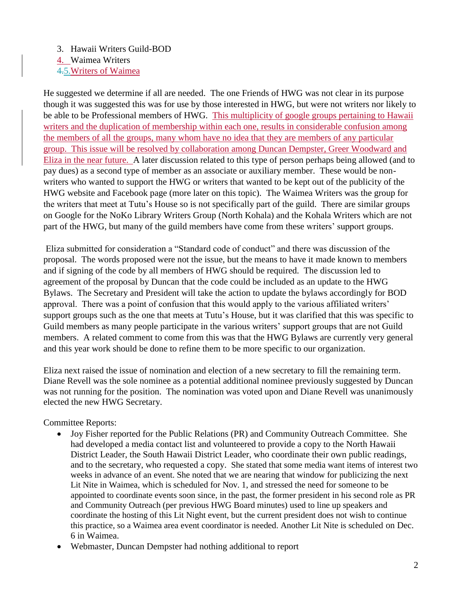## 3. Hawaii Writers Guild-BOD

4. Waimea Writers

4.5.Writers of Waimea

He suggested we determine if all are needed. The one Friends of HWG was not clear in its purpose though it was suggested this was for use by those interested in HWG, but were not writers nor likely to be able to be Professional members of HWG. This multiplicity of google groups pertaining to Hawaii writers and the duplication of membership within each one, results in considerable confusion among the members of all the groups, many whom have no idea that they are members of any particular group. This issue will be resolved by collaboration among Duncan Dempster, Greer Woodward and Eliza in the near future. A later discussion related to this type of person perhaps being allowed (and to pay dues) as a second type of member as an associate or auxiliary member. These would be nonwriters who wanted to support the HWG or writers that wanted to be kept out of the publicity of the HWG website and Facebook page (more later on this topic). The Waimea Writers was the group for the writers that meet at Tutu's House so is not specifically part of the guild. There are similar groups on Google for the NoKo Library Writers Group (North Kohala) and the Kohala Writers which are not part of the HWG, but many of the guild members have come from these writers' support groups.

Eliza submitted for consideration a "Standard code of conduct" and there was discussion of the proposal. The words proposed were not the issue, but the means to have it made known to members and if signing of the code by all members of HWG should be required. The discussion led to agreement of the proposal by Duncan that the code could be included as an update to the HWG Bylaws. The Secretary and President will take the action to update the bylaws accordingly for BOD approval. There was a point of confusion that this would apply to the various affiliated writers' support groups such as the one that meets at Tutu's House, but it was clarified that this was specific to Guild members as many people participate in the various writers' support groups that are not Guild members. A related comment to come from this was that the HWG Bylaws are currently very general and this year work should be done to refine them to be more specific to our organization.

Eliza next raised the issue of nomination and election of a new secretary to fill the remaining term. Diane Revell was the sole nominee as a potential additional nominee previously suggested by Duncan was not running for the position. The nomination was voted upon and Diane Revell was unanimously elected the new HWG Secretary.

## Committee Reports:

- Joy Fisher reported for the Public Relations (PR) and Community Outreach Committee. She had developed a media contact list and volunteered to provide a copy to the North Hawaii District Leader, the South Hawaii District Leader, who coordinate their own public readings, and to the secretary, who requested a copy. She stated that some media want items of interest two weeks in advance of an event. She noted that we are nearing that window for publicizing the next Lit Nite in Waimea, which is scheduled for Nov. 1, and stressed the need for someone to be appointed to coordinate events soon since, in the past, the former president in his second role as PR and Community Outreach (per previous HWG Board minutes) used to line up speakers and coordinate the hosting of this Lit Night event, but the current president does not wish to continue this practice, so a Waimea area event coordinator is needed. Another Lit Nite is scheduled on Dec. 6 in Waimea.
- Webmaster, Duncan Dempster had nothing additional to report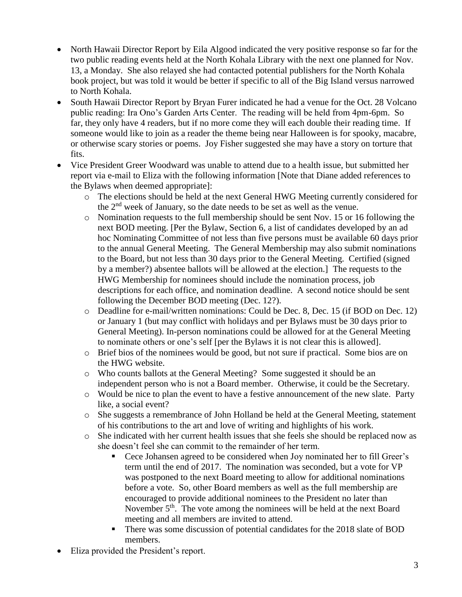- North Hawaii Director Report by Eila Algood indicated the very positive response so far for the two public reading events held at the North Kohala Library with the next one planned for Nov. 13, a Monday. She also relayed she had contacted potential publishers for the North Kohala book project, but was told it would be better if specific to all of the Big Island versus narrowed to North Kohala.
- South Hawaii Director Report by Bryan Furer indicated he had a venue for the Oct. 28 Volcano public reading: Ira Ono's Garden Arts Center. The reading will be held from 4pm-6pm. So far, they only have 4 readers, but if no more come they will each double their reading time. If someone would like to join as a reader the theme being near Halloween is for spooky, macabre, or otherwise scary stories or poems. Joy Fisher suggested she may have a story on torture that fits.
- Vice President Greer Woodward was unable to attend due to a health issue, but submitted her report via e-mail to Eliza with the following information [Note that Diane added references to the Bylaws when deemed appropriate]:
	- o The elections should be held at the next General HWG Meeting currently considered for the 2nd week of January, so the date needs to be set as well as the venue.
	- o Nomination requests to the full membership should be sent Nov. 15 or 16 following the next BOD meeting. [Per the Bylaw, Section 6, a list of candidates developed by an ad hoc Nominating Committee of not less than five persons must be available 60 days prior to the annual General Meeting. The General Membership may also submit nominations to the Board, but not less than 30 days prior to the General Meeting. Certified (signed by a member?) absentee ballots will be allowed at the election.] The requests to the HWG Membership for nominees should include the nomination process, job descriptions for each office, and nomination deadline. A second notice should be sent following the December BOD meeting (Dec. 12?).
	- o Deadline for e-mail/written nominations: Could be Dec. 8, Dec. 15 (if BOD on Dec. 12) or January 1 (but may conflict with holidays and per Bylaws must be 30 days prior to General Meeting). In-person nominations could be allowed for at the General Meeting to nominate others or one's self [per the Bylaws it is not clear this is allowed].
	- o Brief bios of the nominees would be good, but not sure if practical. Some bios are on the HWG website.
	- o Who counts ballots at the General Meeting? Some suggested it should be an independent person who is not a Board member. Otherwise, it could be the Secretary.
	- o Would be nice to plan the event to have a festive announcement of the new slate. Party like, a social event?
	- o She suggests a remembrance of John Holland be held at the General Meeting, statement of his contributions to the art and love of writing and highlights of his work.
	- o She indicated with her current health issues that she feels she should be replaced now as she doesn't feel she can commit to the remainder of her term.
		- Cece Johansen agreed to be considered when Joy nominated her to fill Greer's term until the end of 2017. The nomination was seconded, but a vote for VP was postponed to the next Board meeting to allow for additional nominations before a vote. So, other Board members as well as the full membership are encouraged to provide additional nominees to the President no later than November  $5<sup>th</sup>$ . The vote among the nominees will be held at the next Board meeting and all members are invited to attend.
		- There was some discussion of potential candidates for the 2018 slate of BOD members.
- Eliza provided the President's report.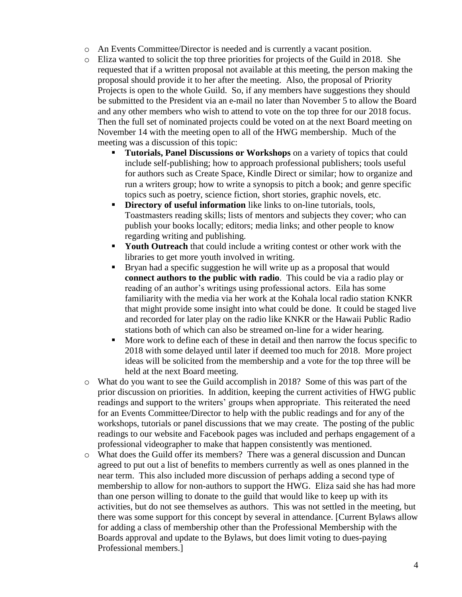- o An Events Committee/Director is needed and is currently a vacant position.
- o Eliza wanted to solicit the top three priorities for projects of the Guild in 2018. She requested that if a written proposal not available at this meeting, the person making the proposal should provide it to her after the meeting. Also, the proposal of Priority Projects is open to the whole Guild. So, if any members have suggestions they should be submitted to the President via an e-mail no later than November 5 to allow the Board and any other members who wish to attend to vote on the top three for our 2018 focus. Then the full set of nominated projects could be voted on at the next Board meeting on November 14 with the meeting open to all of the HWG membership. Much of the meeting was a discussion of this topic:
	- **Tutorials, Panel Discussions or Workshops** on a variety of topics that could include self-publishing; how to approach professional publishers; tools useful for authors such as Create Space, Kindle Direct or similar; how to organize and run a writers group; how to write a synopsis to pitch a book; and genre specific topics such as poetry, science fiction, short stories, graphic novels, etc.
	- **Directory of useful information** like links to on-line tutorials, tools, Toastmasters reading skills; lists of mentors and subjects they cover; who can publish your books locally; editors; media links; and other people to know regarding writing and publishing.
	- **Youth Outreach** that could include a writing contest or other work with the libraries to get more youth involved in writing.
	- **Example 1** Bryan had a specific suggestion he will write up as a proposal that would **connect authors to the public with radio**. This could be via a radio play or reading of an author's writings using professional actors. Eila has some familiarity with the media via her work at the Kohala local radio station KNKR that might provide some insight into what could be done. It could be staged live and recorded for later play on the radio like KNKR or the Hawaii Public Radio stations both of which can also be streamed on-line for a wider hearing.
	- More work to define each of these in detail and then narrow the focus specific to 2018 with some delayed until later if deemed too much for 2018. More project ideas will be solicited from the membership and a vote for the top three will be held at the next Board meeting.
- o What do you want to see the Guild accomplish in 2018? Some of this was part of the prior discussion on priorities. In addition, keeping the current activities of HWG public readings and support to the writers' groups when appropriate. This reiterated the need for an Events Committee/Director to help with the public readings and for any of the workshops, tutorials or panel discussions that we may create. The posting of the public readings to our website and Facebook pages was included and perhaps engagement of a professional videographer to make that happen consistently was mentioned.
- o What does the Guild offer its members? There was a general discussion and Duncan agreed to put out a list of benefits to members currently as well as ones planned in the near term. This also included more discussion of perhaps adding a second type of membership to allow for non-authors to support the HWG. Eliza said she has had more than one person willing to donate to the guild that would like to keep up with its activities, but do not see themselves as authors. This was not settled in the meeting, but there was some support for this concept by several in attendance. [Current Bylaws allow for adding a class of membership other than the Professional Membership with the Boards approval and update to the Bylaws, but does limit voting to dues-paying Professional members.]